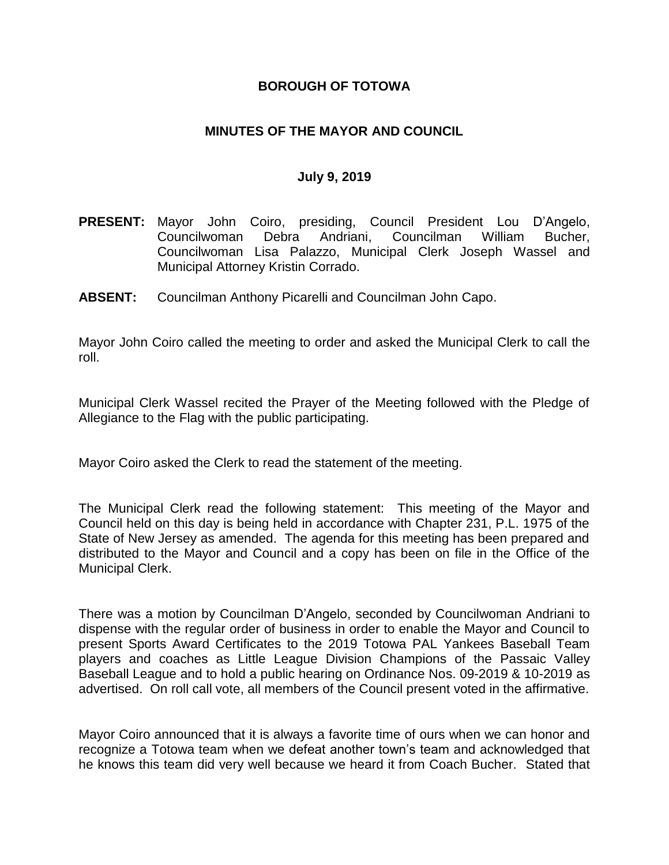### **BOROUGH OF TOTOWA**

### **MINUTES OF THE MAYOR AND COUNCIL**

#### **July 9, 2019**

- **PRESENT:** Mayor John Coiro, presiding, Council President Lou D'Angelo, Councilwoman Debra Andriani, Councilman William Bucher, Councilwoman Lisa Palazzo, Municipal Clerk Joseph Wassel and Municipal Attorney Kristin Corrado.
- **ABSENT:** Councilman Anthony Picarelli and Councilman John Capo.

Mayor John Coiro called the meeting to order and asked the Municipal Clerk to call the roll.

Municipal Clerk Wassel recited the Prayer of the Meeting followed with the Pledge of Allegiance to the Flag with the public participating.

Mayor Coiro asked the Clerk to read the statement of the meeting.

The Municipal Clerk read the following statement: This meeting of the Mayor and Council held on this day is being held in accordance with Chapter 231, P.L. 1975 of the State of New Jersey as amended. The agenda for this meeting has been prepared and distributed to the Mayor and Council and a copy has been on file in the Office of the Municipal Clerk.

There was a motion by Councilman D'Angelo, seconded by Councilwoman Andriani to dispense with the regular order of business in order to enable the Mayor and Council to present Sports Award Certificates to the 2019 Totowa PAL Yankees Baseball Team players and coaches as Little League Division Champions of the Passaic Valley Baseball League and to hold a public hearing on Ordinance Nos. 09-2019 & 10-2019 as advertised. On roll call vote, all members of the Council present voted in the affirmative.

Mayor Coiro announced that it is always a favorite time of ours when we can honor and recognize a Totowa team when we defeat another town's team and acknowledged that he knows this team did very well because we heard it from Coach Bucher. Stated that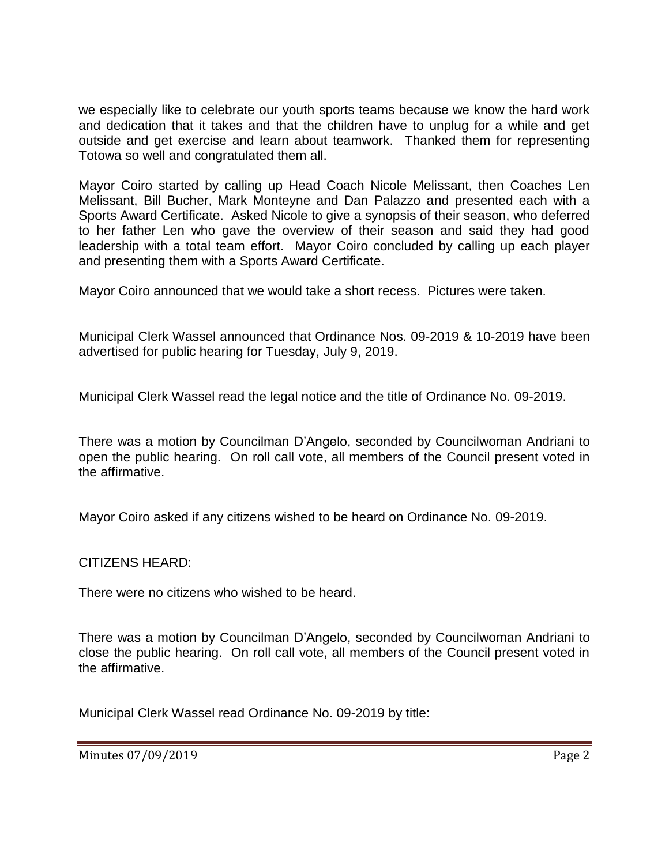we especially like to celebrate our youth sports teams because we know the hard work and dedication that it takes and that the children have to unplug for a while and get outside and get exercise and learn about teamwork. Thanked them for representing Totowa so well and congratulated them all.

Mayor Coiro started by calling up Head Coach Nicole Melissant, then Coaches Len Melissant, Bill Bucher, Mark Monteyne and Dan Palazzo and presented each with a Sports Award Certificate. Asked Nicole to give a synopsis of their season, who deferred to her father Len who gave the overview of their season and said they had good leadership with a total team effort. Mayor Coiro concluded by calling up each player and presenting them with a Sports Award Certificate.

Mayor Coiro announced that we would take a short recess. Pictures were taken.

Municipal Clerk Wassel announced that Ordinance Nos. 09-2019 & 10-2019 have been advertised for public hearing for Tuesday, July 9, 2019.

Municipal Clerk Wassel read the legal notice and the title of Ordinance No. 09-2019.

There was a motion by Councilman D'Angelo, seconded by Councilwoman Andriani to open the public hearing. On roll call vote, all members of the Council present voted in the affirmative.

Mayor Coiro asked if any citizens wished to be heard on Ordinance No. 09-2019.

CITIZENS HEARD:

There were no citizens who wished to be heard.

There was a motion by Councilman D'Angelo, seconded by Councilwoman Andriani to close the public hearing. On roll call vote, all members of the Council present voted in the affirmative.

Municipal Clerk Wassel read Ordinance No. 09-2019 by title:

Minutes 07/09/2019 **Page 2**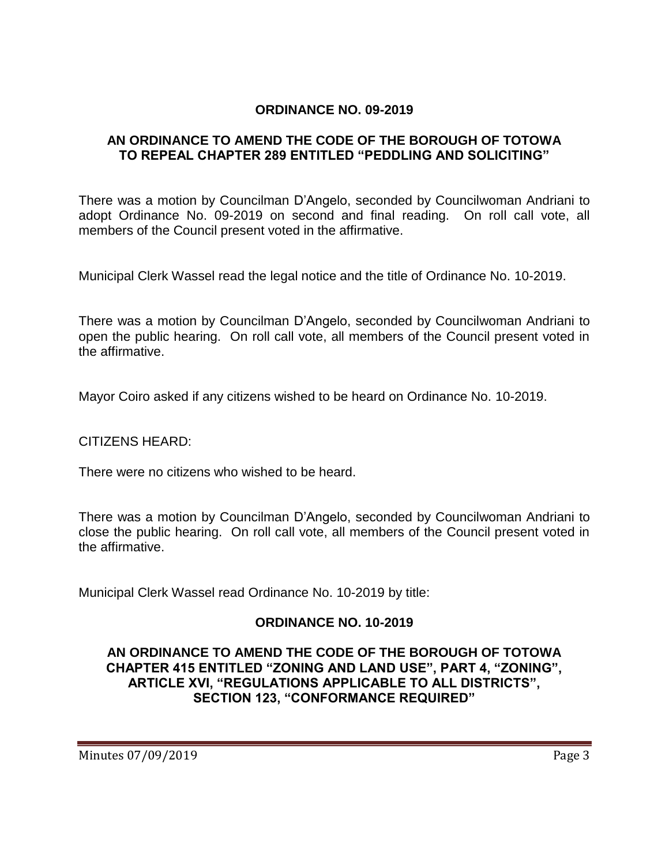### **ORDINANCE NO. 09-2019**

### **AN ORDINANCE TO AMEND THE CODE OF THE BOROUGH OF TOTOWA TO REPEAL CHAPTER 289 ENTITLED "PEDDLING AND SOLICITING"**

There was a motion by Councilman D'Angelo, seconded by Councilwoman Andriani to adopt Ordinance No. 09-2019 on second and final reading. On roll call vote, all members of the Council present voted in the affirmative.

Municipal Clerk Wassel read the legal notice and the title of Ordinance No. 10-2019.

There was a motion by Councilman D'Angelo, seconded by Councilwoman Andriani to open the public hearing. On roll call vote, all members of the Council present voted in the affirmative.

Mayor Coiro asked if any citizens wished to be heard on Ordinance No. 10-2019.

CITIZENS HEARD:

There were no citizens who wished to be heard.

There was a motion by Councilman D'Angelo, seconded by Councilwoman Andriani to close the public hearing. On roll call vote, all members of the Council present voted in the affirmative.

Municipal Clerk Wassel read Ordinance No. 10-2019 by title:

# **ORDINANCE NO. 10-2019**

### **AN ORDINANCE TO AMEND THE CODE OF THE BOROUGH OF TOTOWA CHAPTER 415 ENTITLED "ZONING AND LAND USE", PART 4, "ZONING", ARTICLE XVI, "REGULATIONS APPLICABLE TO ALL DISTRICTS", SECTION 123, "CONFORMANCE REQUIRED"**

Minutes 07/09/2019 **Page 3**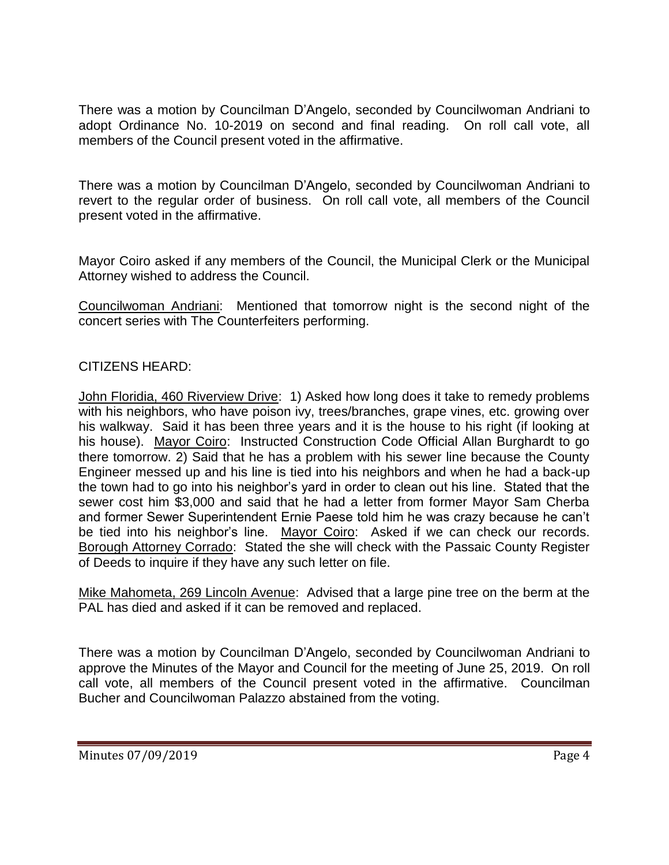There was a motion by Councilman D'Angelo, seconded by Councilwoman Andriani to adopt Ordinance No. 10-2019 on second and final reading. On roll call vote, all members of the Council present voted in the affirmative.

There was a motion by Councilman D'Angelo, seconded by Councilwoman Andriani to revert to the regular order of business. On roll call vote, all members of the Council present voted in the affirmative.

Mayor Coiro asked if any members of the Council, the Municipal Clerk or the Municipal Attorney wished to address the Council.

Councilwoman Andriani: Mentioned that tomorrow night is the second night of the concert series with The Counterfeiters performing.

# CITIZENS HEARD:

John Floridia, 460 Riverview Drive: 1) Asked how long does it take to remedy problems with his neighbors, who have poison ivy, trees/branches, grape vines, etc. growing over his walkway. Said it has been three years and it is the house to his right (if looking at his house). Mayor Coiro: Instructed Construction Code Official Allan Burghardt to go there tomorrow. 2) Said that he has a problem with his sewer line because the County Engineer messed up and his line is tied into his neighbors and when he had a back-up the town had to go into his neighbor's yard in order to clean out his line. Stated that the sewer cost him \$3,000 and said that he had a letter from former Mayor Sam Cherba and former Sewer Superintendent Ernie Paese told him he was crazy because he can't be tied into his neighbor's line. Mayor Coiro: Asked if we can check our records. Borough Attorney Corrado: Stated the she will check with the Passaic County Register of Deeds to inquire if they have any such letter on file.

Mike Mahometa, 269 Lincoln Avenue: Advised that a large pine tree on the berm at the PAL has died and asked if it can be removed and replaced.

There was a motion by Councilman D'Angelo, seconded by Councilwoman Andriani to approve the Minutes of the Mayor and Council for the meeting of June 25, 2019. On roll call vote, all members of the Council present voted in the affirmative. Councilman Bucher and Councilwoman Palazzo abstained from the voting.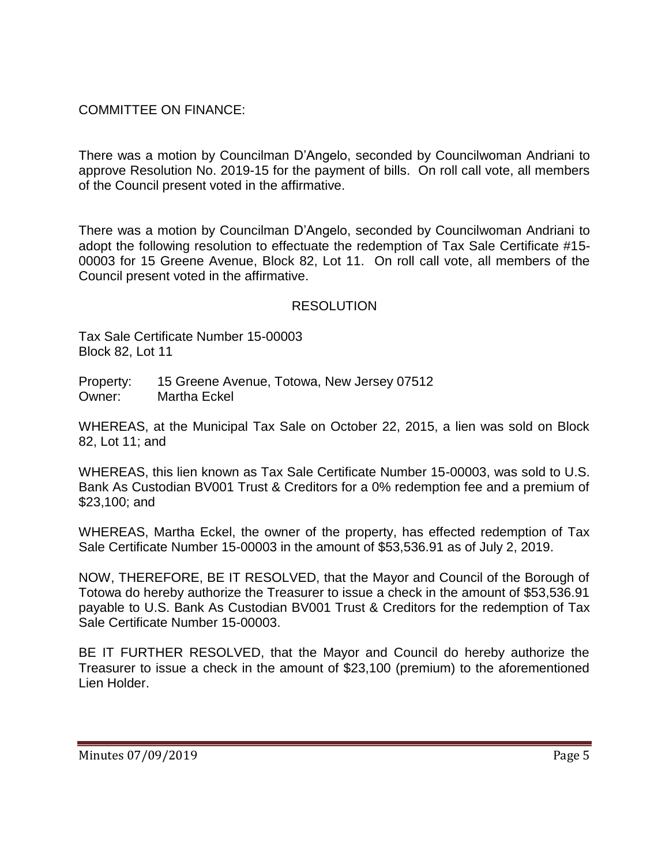COMMITTEE ON FINANCE:

There was a motion by Councilman D'Angelo, seconded by Councilwoman Andriani to approve Resolution No. 2019-15 for the payment of bills. On roll call vote, all members of the Council present voted in the affirmative.

There was a motion by Councilman D'Angelo, seconded by Councilwoman Andriani to adopt the following resolution to effectuate the redemption of Tax Sale Certificate #15- 00003 for 15 Greene Avenue, Block 82, Lot 11. On roll call vote, all members of the Council present voted in the affirmative.

# RESOLUTION

Tax Sale Certificate Number 15-00003 Block 82, Lot 11

Property: 15 Greene Avenue, Totowa, New Jersey 07512 Owner: Martha Eckel

WHEREAS, at the Municipal Tax Sale on October 22, 2015, a lien was sold on Block 82, Lot 11; and

WHEREAS, this lien known as Tax Sale Certificate Number 15-00003, was sold to U.S. Bank As Custodian BV001 Trust & Creditors for a 0% redemption fee and a premium of \$23,100; and

WHEREAS, Martha Eckel, the owner of the property, has effected redemption of Tax Sale Certificate Number 15-00003 in the amount of \$53,536.91 as of July 2, 2019.

NOW, THEREFORE, BE IT RESOLVED, that the Mayor and Council of the Borough of Totowa do hereby authorize the Treasurer to issue a check in the amount of \$53,536.91 payable to U.S. Bank As Custodian BV001 Trust & Creditors for the redemption of Tax Sale Certificate Number 15-00003.

BE IT FURTHER RESOLVED, that the Mayor and Council do hereby authorize the Treasurer to issue a check in the amount of \$23,100 (premium) to the aforementioned Lien Holder.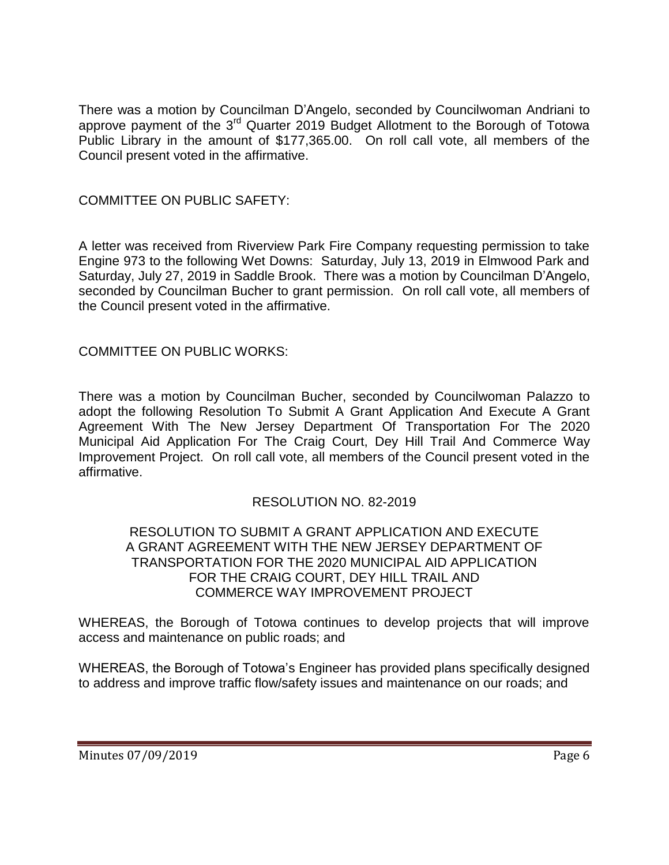There was a motion by Councilman D'Angelo, seconded by Councilwoman Andriani to approve payment of the 3rd Quarter 2019 Budget Allotment to the Borough of Totowa Public Library in the amount of \$177,365.00. On roll call vote, all members of the Council present voted in the affirmative.

COMMITTEE ON PUBLIC SAFETY:

A letter was received from Riverview Park Fire Company requesting permission to take Engine 973 to the following Wet Downs: Saturday, July 13, 2019 in Elmwood Park and Saturday, July 27, 2019 in Saddle Brook. There was a motion by Councilman D'Angelo, seconded by Councilman Bucher to grant permission. On roll call vote, all members of the Council present voted in the affirmative.

COMMITTEE ON PUBLIC WORKS:

There was a motion by Councilman Bucher, seconded by Councilwoman Palazzo to adopt the following Resolution To Submit A Grant Application And Execute A Grant Agreement With The New Jersey Department Of Transportation For The 2020 Municipal Aid Application For The Craig Court, Dey Hill Trail And Commerce Way Improvement Project. On roll call vote, all members of the Council present voted in the affirmative.

# RESOLUTION NO. 82-2019

#### RESOLUTION TO SUBMIT A GRANT APPLICATION AND EXECUTE A GRANT AGREEMENT WITH THE NEW JERSEY DEPARTMENT OF TRANSPORTATION FOR THE 2020 MUNICIPAL AID APPLICATION FOR THE CRAIG COURT, DEY HILL TRAIL AND COMMERCE WAY IMPROVEMENT PROJECT

WHEREAS, the Borough of Totowa continues to develop projects that will improve access and maintenance on public roads; and

WHEREAS, the Borough of Totowa's Engineer has provided plans specifically designed to address and improve traffic flow/safety issues and maintenance on our roads; and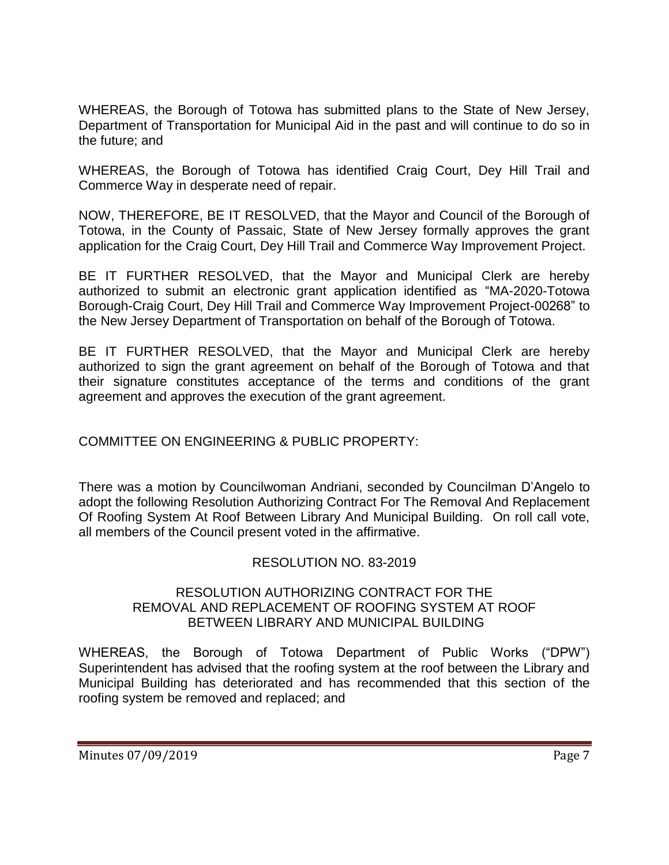WHEREAS, the Borough of Totowa has submitted plans to the State of New Jersey, Department of Transportation for Municipal Aid in the past and will continue to do so in the future; and

WHEREAS, the Borough of Totowa has identified Craig Court, Dey Hill Trail and Commerce Way in desperate need of repair.

NOW, THEREFORE, BE IT RESOLVED, that the Mayor and Council of the Borough of Totowa, in the County of Passaic, State of New Jersey formally approves the grant application for the Craig Court, Dey Hill Trail and Commerce Way Improvement Project.

BE IT FURTHER RESOLVED, that the Mayor and Municipal Clerk are hereby authorized to submit an electronic grant application identified as "MA-2020-Totowa Borough-Craig Court, Dey Hill Trail and Commerce Way Improvement Project-00268" to the New Jersey Department of Transportation on behalf of the Borough of Totowa.

BE IT FURTHER RESOLVED, that the Mayor and Municipal Clerk are hereby authorized to sign the grant agreement on behalf of the Borough of Totowa and that their signature constitutes acceptance of the terms and conditions of the grant agreement and approves the execution of the grant agreement.

COMMITTEE ON ENGINEERING & PUBLIC PROPERTY:

There was a motion by Councilwoman Andriani, seconded by Councilman D'Angelo to adopt the following Resolution Authorizing Contract For The Removal And Replacement Of Roofing System At Roof Between Library And Municipal Building. On roll call vote, all members of the Council present voted in the affirmative.

# RESOLUTION NO. 83-2019

#### RESOLUTION AUTHORIZING CONTRACT FOR THE REMOVAL AND REPLACEMENT OF ROOFING SYSTEM AT ROOF BETWEEN LIBRARY AND MUNICIPAL BUILDING

WHEREAS, the Borough of Totowa Department of Public Works ("DPW") Superintendent has advised that the roofing system at the roof between the Library and Municipal Building has deteriorated and has recommended that this section of the roofing system be removed and replaced; and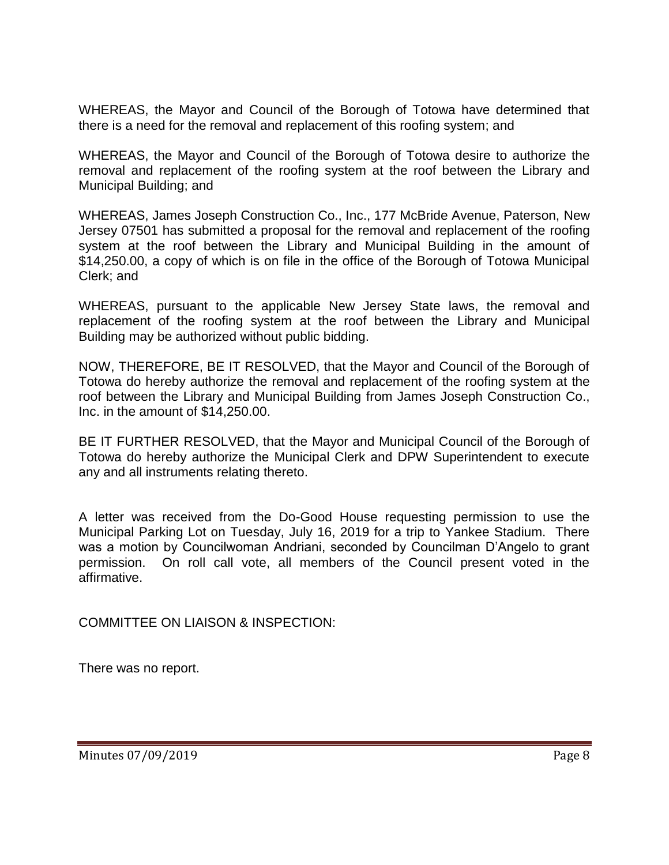WHEREAS, the Mayor and Council of the Borough of Totowa have determined that there is a need for the removal and replacement of this roofing system; and

WHEREAS, the Mayor and Council of the Borough of Totowa desire to authorize the removal and replacement of the roofing system at the roof between the Library and Municipal Building; and

WHEREAS, James Joseph Construction Co., Inc., 177 McBride Avenue, Paterson, New Jersey 07501 has submitted a proposal for the removal and replacement of the roofing system at the roof between the Library and Municipal Building in the amount of \$14,250.00, a copy of which is on file in the office of the Borough of Totowa Municipal Clerk; and

WHEREAS, pursuant to the applicable New Jersey State laws, the removal and replacement of the roofing system at the roof between the Library and Municipal Building may be authorized without public bidding.

NOW, THEREFORE, BE IT RESOLVED, that the Mayor and Council of the Borough of Totowa do hereby authorize the removal and replacement of the roofing system at the roof between the Library and Municipal Building from James Joseph Construction Co., Inc. in the amount of \$14,250.00.

BE IT FURTHER RESOLVED, that the Mayor and Municipal Council of the Borough of Totowa do hereby authorize the Municipal Clerk and DPW Superintendent to execute any and all instruments relating thereto.

A letter was received from the Do-Good House requesting permission to use the Municipal Parking Lot on Tuesday, July 16, 2019 for a trip to Yankee Stadium. There was a motion by Councilwoman Andriani, seconded by Councilman D'Angelo to grant permission. On roll call vote, all members of the Council present voted in the affirmative.

COMMITTEE ON LIAISON & INSPECTION:

There was no report.